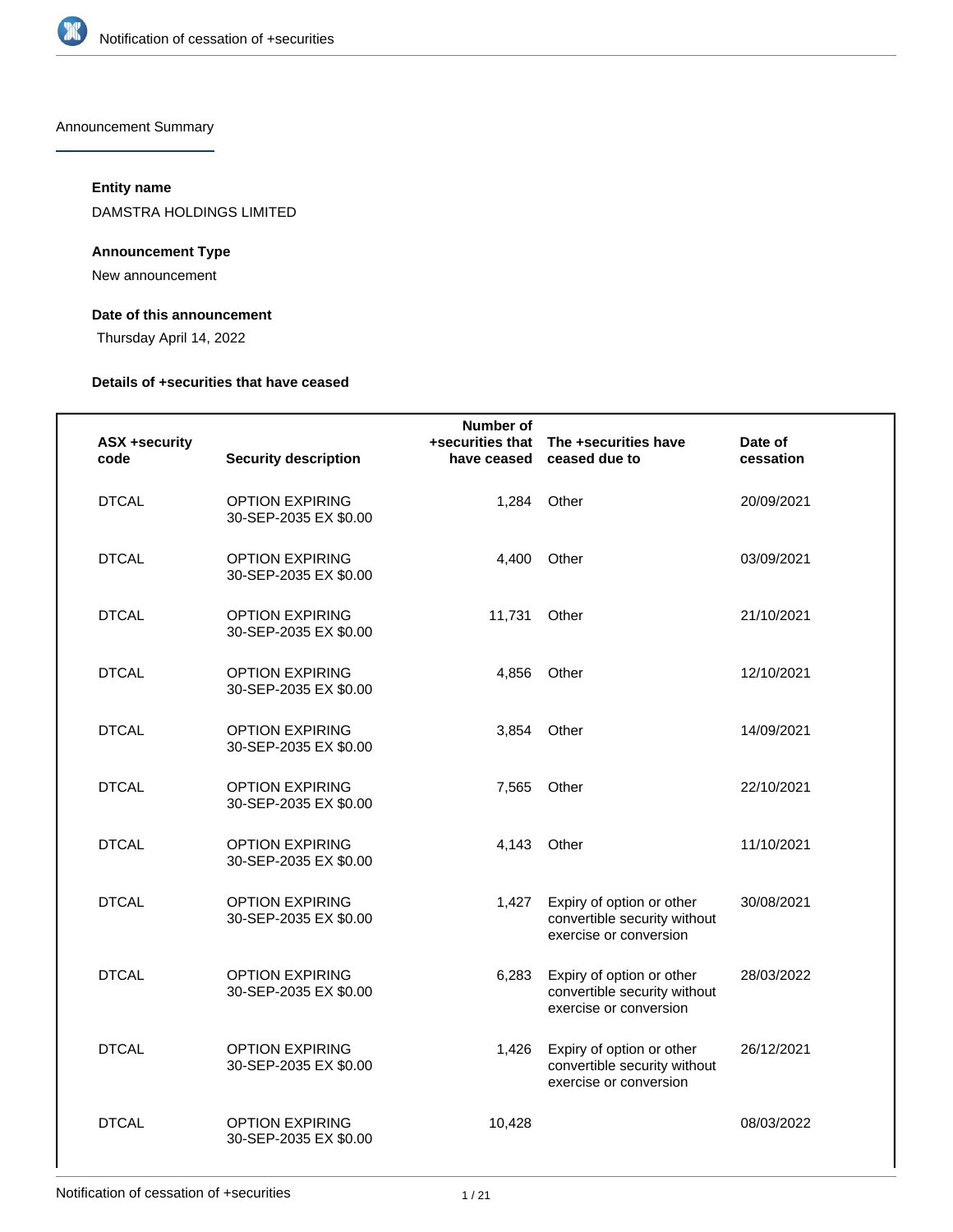

Announcement Summary

## **Entity name**

DAMSTRA HOLDINGS LIMITED

## **Announcement Type**

New announcement

## **Date of this announcement**

Thursday April 14, 2022

#### **Details of +securities that have ceased**

| <b>ASX +security</b><br>code | <b>Security description</b>                     | Number of<br>have ceased | +securities that  The +securities have<br>ceased due to                             | Date of<br>cessation |
|------------------------------|-------------------------------------------------|--------------------------|-------------------------------------------------------------------------------------|----------------------|
| <b>DTCAL</b>                 | <b>OPTION EXPIRING</b><br>30-SEP-2035 EX \$0.00 |                          | 1,284 Other                                                                         | 20/09/2021           |
| <b>DTCAL</b>                 | <b>OPTION EXPIRING</b><br>30-SEP-2035 EX \$0.00 | 4,400                    | Other                                                                               | 03/09/2021           |
| <b>DTCAL</b>                 | <b>OPTION EXPIRING</b><br>30-SEP-2035 EX \$0.00 | 11,731                   | Other                                                                               | 21/10/2021           |
| <b>DTCAL</b>                 | <b>OPTION EXPIRING</b><br>30-SEP-2035 EX \$0.00 | 4,856                    | Other                                                                               | 12/10/2021           |
| <b>DTCAL</b>                 | <b>OPTION EXPIRING</b><br>30-SEP-2035 EX \$0.00 | 3,854                    | Other                                                                               | 14/09/2021           |
| <b>DTCAL</b>                 | <b>OPTION EXPIRING</b><br>30-SEP-2035 EX \$0.00 | 7,565                    | Other                                                                               | 22/10/2021           |
| <b>DTCAL</b>                 | <b>OPTION EXPIRING</b><br>30-SEP-2035 EX \$0.00 | 4,143                    | Other                                                                               | 11/10/2021           |
| <b>DTCAL</b>                 | <b>OPTION EXPIRING</b><br>30-SEP-2035 EX \$0.00 | 1,427                    | Expiry of option or other<br>convertible security without<br>exercise or conversion | 30/08/2021           |
| <b>DTCAL</b>                 | <b>OPTION EXPIRING</b><br>30-SEP-2035 EX \$0.00 | 6,283                    | Expiry of option or other<br>convertible security without<br>exercise or conversion | 28/03/2022           |
| <b>DTCAL</b>                 | <b>OPTION EXPIRING</b><br>30-SEP-2035 EX \$0.00 | 1,426                    | Expiry of option or other<br>convertible security without<br>exercise or conversion | 26/12/2021           |
| <b>DTCAL</b>                 | <b>OPTION EXPIRING</b><br>30-SEP-2035 EX \$0.00 | 10,428                   |                                                                                     | 08/03/2022           |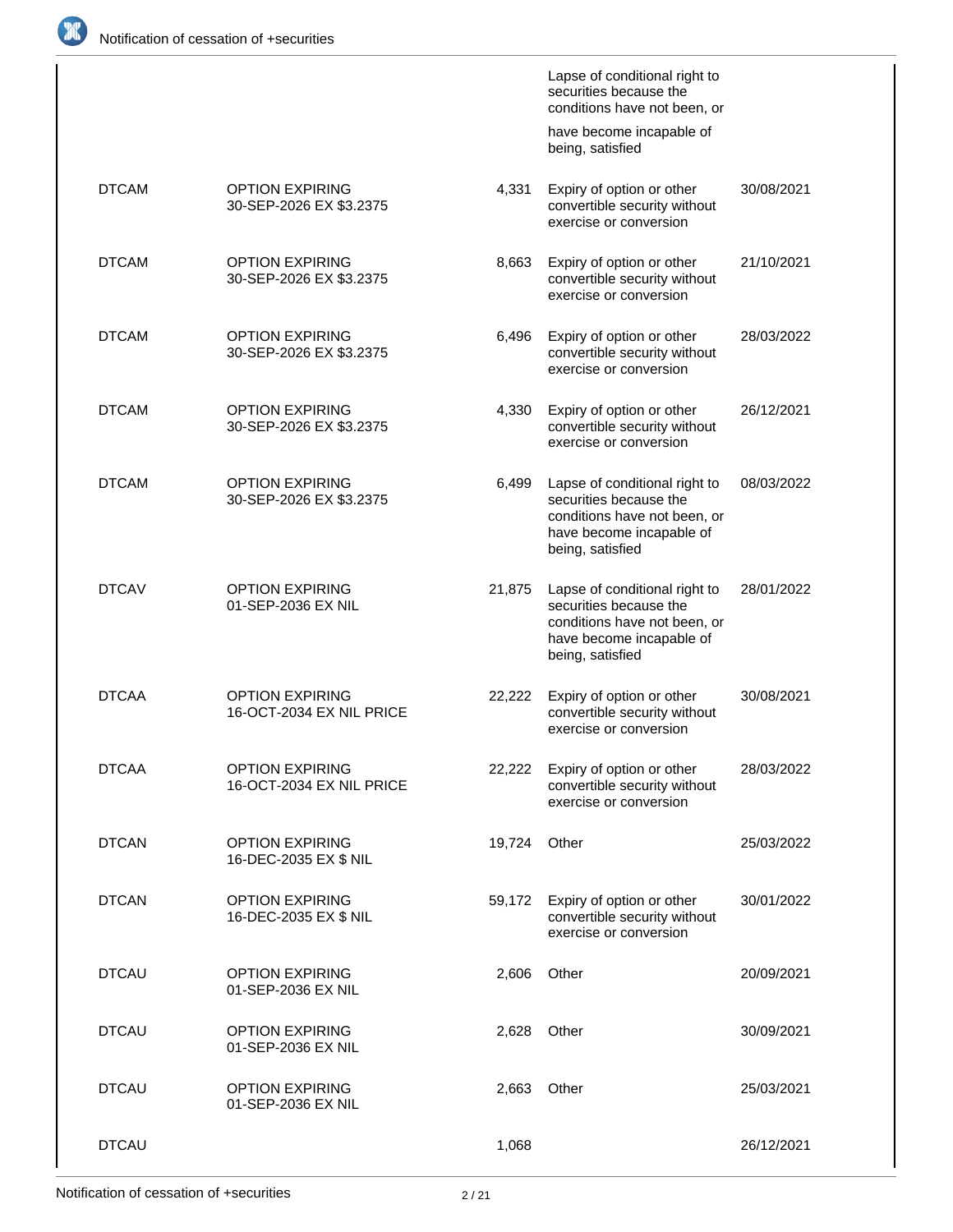

|              |                                                    |        | Lapse of conditional right to<br>securities because the<br>conditions have not been, or                                                 |            |
|--------------|----------------------------------------------------|--------|-----------------------------------------------------------------------------------------------------------------------------------------|------------|
|              |                                                    |        | have become incapable of<br>being, satisfied                                                                                            |            |
| <b>DTCAM</b> | <b>OPTION EXPIRING</b><br>30-SEP-2026 EX \$3.2375  | 4,331  | Expiry of option or other<br>convertible security without<br>exercise or conversion                                                     | 30/08/2021 |
| <b>DTCAM</b> | <b>OPTION EXPIRING</b><br>30-SEP-2026 EX \$3.2375  | 8,663  | Expiry of option or other<br>convertible security without<br>exercise or conversion                                                     | 21/10/2021 |
| <b>DTCAM</b> | <b>OPTION EXPIRING</b><br>30-SEP-2026 EX \$3.2375  | 6,496  | Expiry of option or other<br>convertible security without<br>exercise or conversion                                                     | 28/03/2022 |
| <b>DTCAM</b> | <b>OPTION EXPIRING</b><br>30-SEP-2026 EX \$3.2375  | 4,330  | Expiry of option or other<br>convertible security without<br>exercise or conversion                                                     | 26/12/2021 |
| <b>DTCAM</b> | <b>OPTION EXPIRING</b><br>30-SEP-2026 EX \$3.2375  | 6,499  | Lapse of conditional right to<br>securities because the<br>conditions have not been, or<br>have become incapable of<br>being, satisfied | 08/03/2022 |
| <b>DTCAV</b> | <b>OPTION EXPIRING</b><br>01-SEP-2036 EX NIL       | 21,875 | Lapse of conditional right to<br>securities because the<br>conditions have not been, or<br>have become incapable of<br>being, satisfied | 28/01/2022 |
| <b>DTCAA</b> | <b>OPTION EXPIRING</b><br>16-OCT-2034 EX NIL PRICE | 22,222 | Expiry of option or other<br>convertible security without<br>exercise or conversion                                                     | 30/08/2021 |
| <b>DTCAA</b> | <b>OPTION EXPIRING</b><br>16-OCT-2034 EX NIL PRICE | 22,222 | Expiry of option or other<br>convertible security without<br>exercise or conversion                                                     | 28/03/2022 |
| <b>DTCAN</b> | <b>OPTION EXPIRING</b><br>16-DEC-2035 EX \$ NIL    | 19,724 | Other                                                                                                                                   | 25/03/2022 |
| <b>DTCAN</b> | <b>OPTION EXPIRING</b><br>16-DEC-2035 EX \$ NIL    | 59,172 | Expiry of option or other<br>convertible security without<br>exercise or conversion                                                     | 30/01/2022 |
| <b>DTCAU</b> | <b>OPTION EXPIRING</b><br>01-SEP-2036 EX NIL       | 2,606  | Other                                                                                                                                   | 20/09/2021 |
| <b>DTCAU</b> | <b>OPTION EXPIRING</b><br>01-SEP-2036 EX NIL       | 2,628  | Other                                                                                                                                   | 30/09/2021 |
| <b>DTCAU</b> | <b>OPTION EXPIRING</b><br>01-SEP-2036 EX NIL       | 2,663  | Other                                                                                                                                   | 25/03/2021 |
| <b>DTCAU</b> |                                                    | 1,068  |                                                                                                                                         | 26/12/2021 |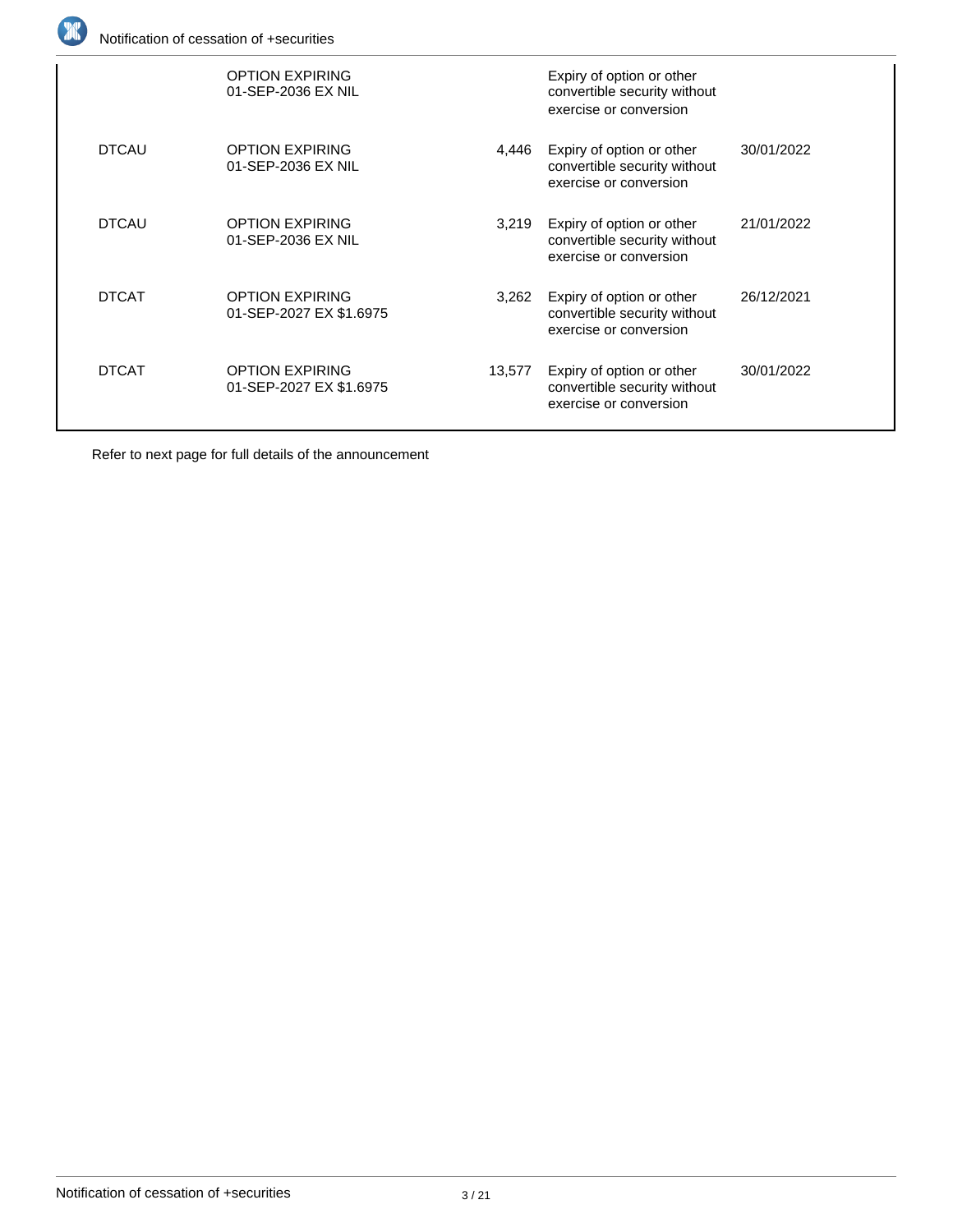

|              | <b>OPTION EXPIRING</b><br>01-SEP-2036 EX NIL      |        | Expiry of option or other<br>convertible security without<br>exercise or conversion |            |
|--------------|---------------------------------------------------|--------|-------------------------------------------------------------------------------------|------------|
| <b>DTCAU</b> | <b>OPTION EXPIRING</b><br>01-SEP-2036 EX NIL      | 4.446  | Expiry of option or other<br>convertible security without<br>exercise or conversion | 30/01/2022 |
| <b>DTCAU</b> | <b>OPTION EXPIRING</b><br>01-SEP-2036 EX NIL      | 3,219  | Expiry of option or other<br>convertible security without<br>exercise or conversion | 21/01/2022 |
| <b>DTCAT</b> | <b>OPTION EXPIRING</b><br>01-SEP-2027 EX \$1.6975 | 3,262  | Expiry of option or other<br>convertible security without<br>exercise or conversion | 26/12/2021 |
| <b>DTCAT</b> | <b>OPTION EXPIRING</b><br>01-SEP-2027 EX \$1.6975 | 13,577 | Expiry of option or other<br>convertible security without<br>exercise or conversion | 30/01/2022 |
|              |                                                   |        |                                                                                     |            |

Refer to next page for full details of the announcement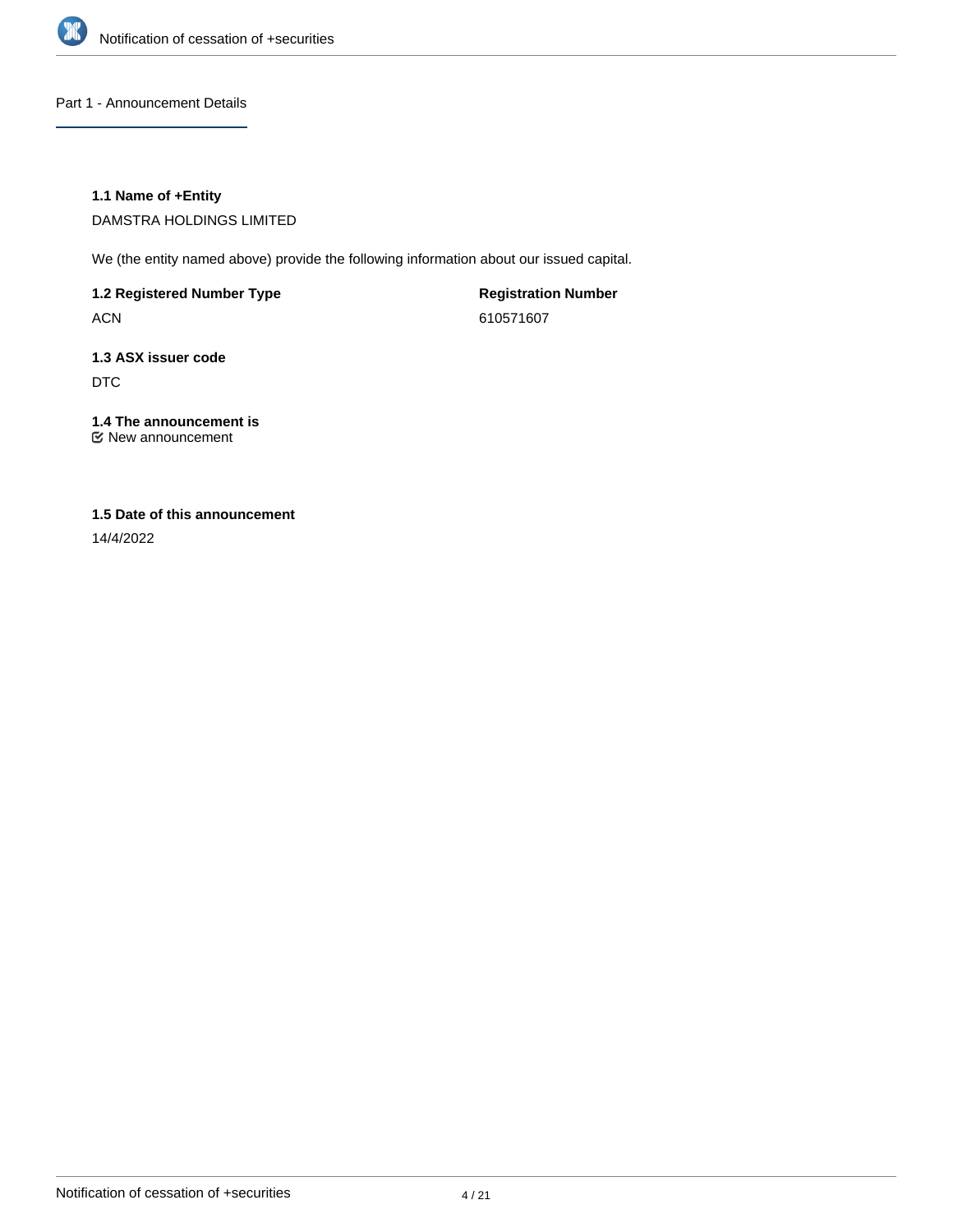

Part 1 - Announcement Details

## **1.1 Name of +Entity**

DAMSTRA HOLDINGS LIMITED

We (the entity named above) provide the following information about our issued capital.

**1.2 Registered Number Type**

ACN

**Registration Number** 610571607

## **1.3 ASX issuer code** DTC

**1.4 The announcement is**

New announcement

## **1.5 Date of this announcement**

14/4/2022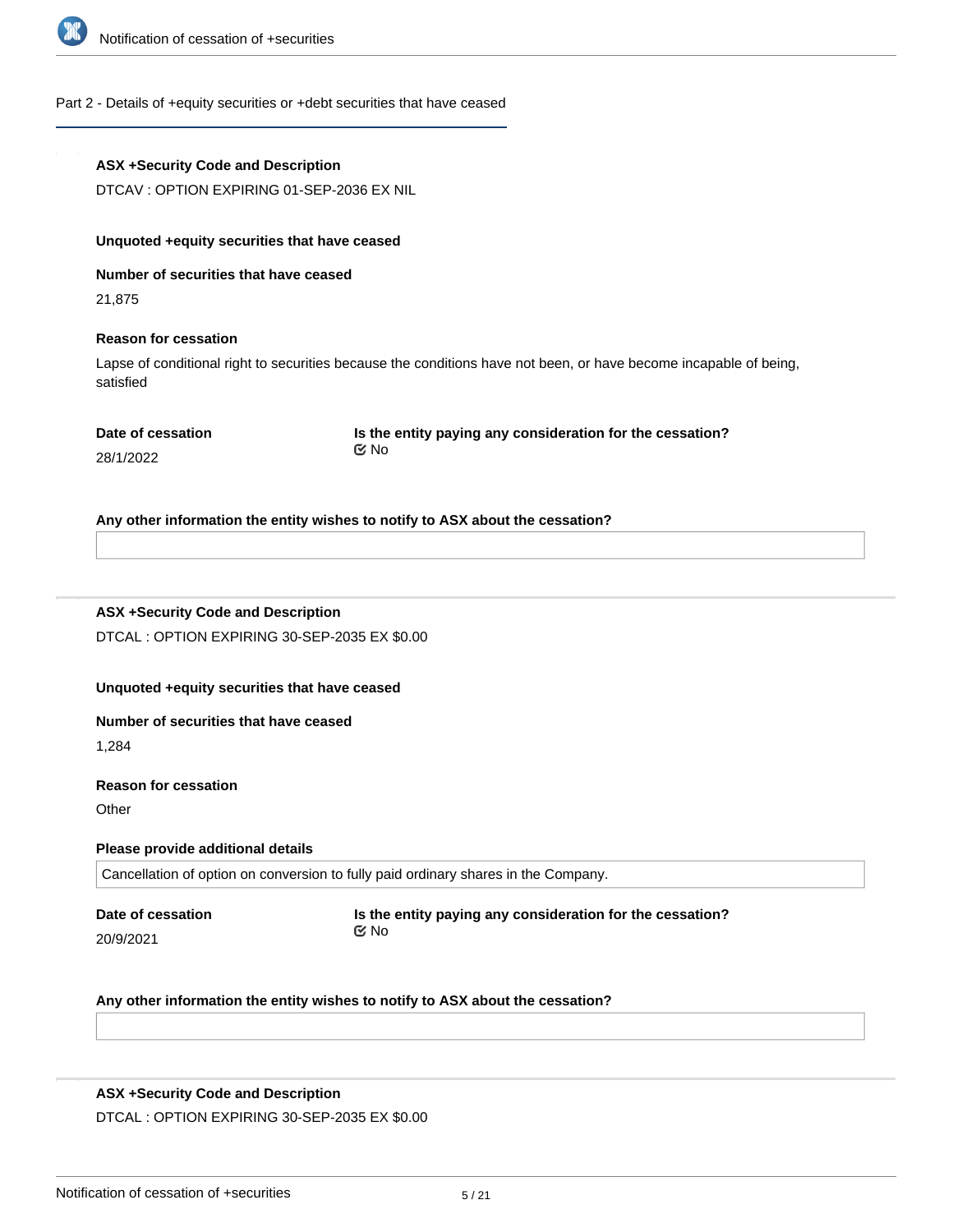

## Part 2 - Details of +equity securities or +debt securities that have ceased

| ASX +Security Code and Description |  |  |
|------------------------------------|--|--|
|------------------------------------|--|--|

DTCAV : OPTION EXPIRING 01-SEP-2036 EX NIL

#### **Unquoted +equity securities that have ceased**

**Number of securities that have ceased**

21,875

#### **Reason for cessation**

Lapse of conditional right to securities because the conditions have not been, or have become incapable of being, satisfied

**Is the entity paying any consideration for the cessation?** No

28/1/2022

#### **Any other information the entity wishes to notify to ASX about the cessation?**

## **ASX +Security Code and Description**

DTCAL : OPTION EXPIRING 30-SEP-2035 EX \$0.00

## **Unquoted +equity securities that have ceased**

#### **Number of securities that have ceased**

1,284

#### **Reason for cessation**

**Other** 

#### **Please provide additional details**

Cancellation of option on conversion to fully paid ordinary shares in the Company.

**Date of cessation**

20/9/2021

**Is the entity paying any consideration for the cessation?** No

#### **Any other information the entity wishes to notify to ASX about the cessation?**

## **ASX +Security Code and Description**

DTCAL : OPTION EXPIRING 30-SEP-2035 EX \$0.00

**Unquoted +equity securities that have ceased**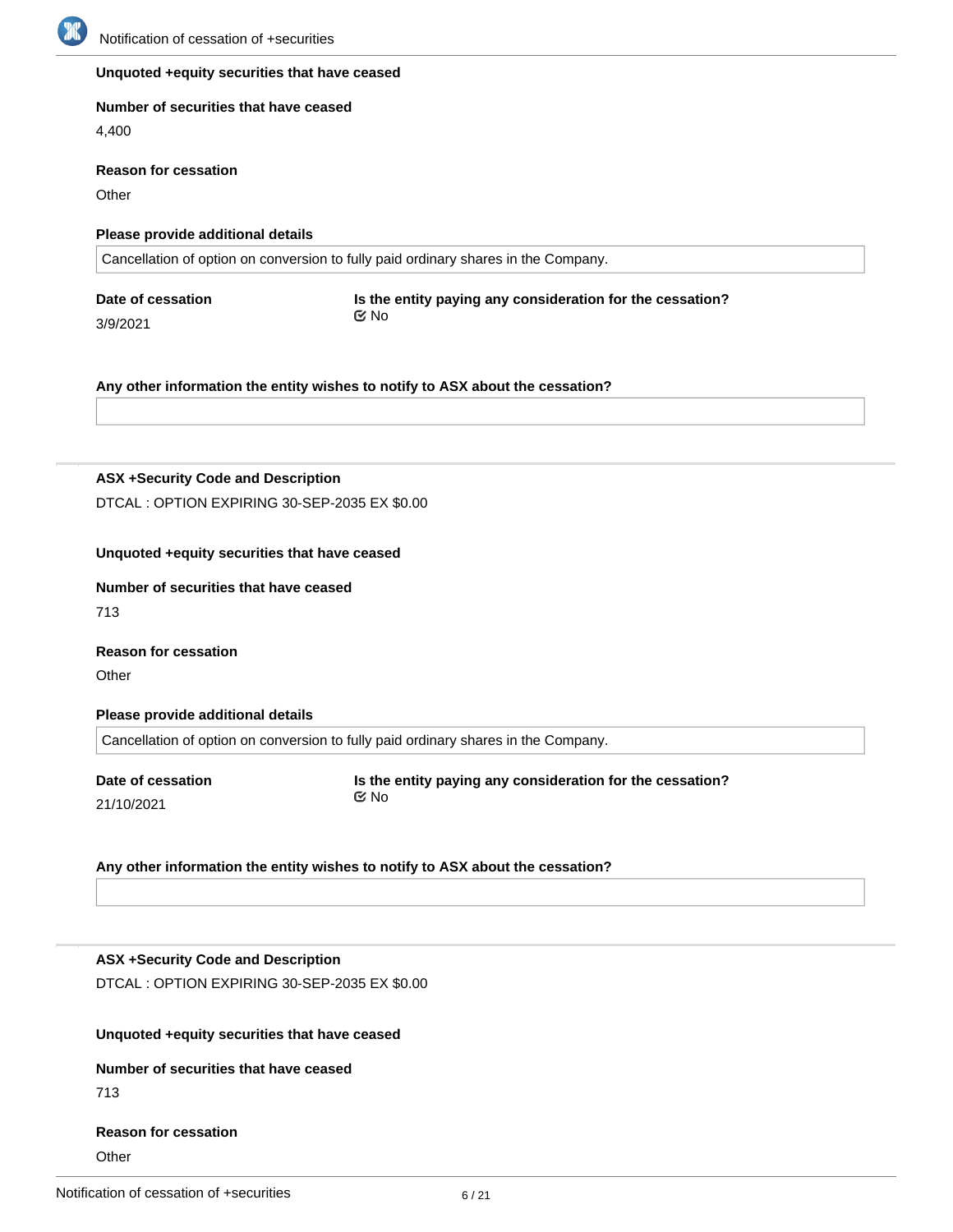

## **Unquoted +equity securities that have ceased**

#### **Number of securities that have ceased**

4,400

#### **Reason for cessation**

**Other** 

3/9/2021

#### **Please provide additional details**

Cancellation of option on conversion to fully paid ordinary shares in the Company.

**Date of cessation**

**Is the entity paying any consideration for the cessation?** No

#### **Any other information the entity wishes to notify to ASX about the cessation?**

**ASX +Security Code and Description**

DTCAL : OPTION EXPIRING 30-SEP-2035 EX \$0.00

#### **Unquoted +equity securities that have ceased**

#### **Number of securities that have ceased**

713

# **Reason for cessation**

**Other** 

#### **Please provide additional details**

Cancellation of option on conversion to fully paid ordinary shares in the Company.

**Date of cessation** 21/10/2021

**Is the entity paying any consideration for the cessation?** No

#### **Any other information the entity wishes to notify to ASX about the cessation?**

## **ASX +Security Code and Description**

DTCAL : OPTION EXPIRING 30-SEP-2035 EX \$0.00

## **Unquoted +equity securities that have ceased**

## **Number of securities that have ceased**

713

#### **Reason for cessation**

**Other**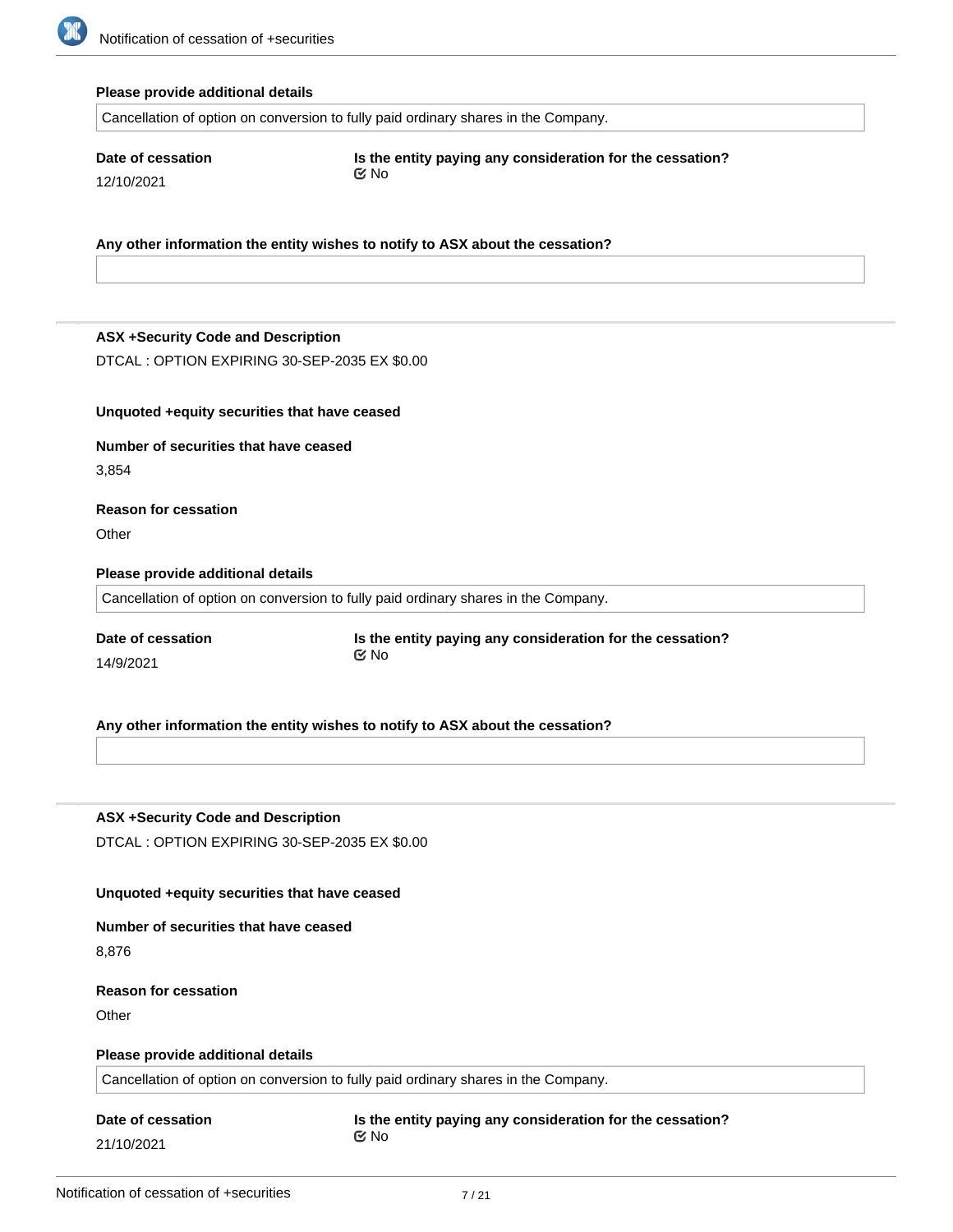

#### **Please provide additional details**

Cancellation of option on conversion to fully paid ordinary shares in the Company.

**Date of cessation** 12/10/2021

**Is the entity paying any consideration for the cessation?** No

**Any other information the entity wishes to notify to ASX about the cessation?**

#### **ASX +Security Code and Description**

DTCAL : OPTION EXPIRING 30-SEP-2035 EX \$0.00

#### **Unquoted +equity securities that have ceased**

## **Number of securities that have ceased** 3,854

**Reason for cessation**

**Other** 

#### **Please provide additional details**

Cancellation of option on conversion to fully paid ordinary shares in the Company.

**Date of cessation** 14/9/2021

**Is the entity paying any consideration for the cessation?** No

## **Any other information the entity wishes to notify to ASX about the cessation?**

## **ASX +Security Code and Description**

DTCAL : OPTION EXPIRING 30-SEP-2035 EX \$0.00

## **Unquoted +equity securities that have ceased**

#### **Number of securities that have ceased**

8,876

#### **Reason for cessation**

**Other** 

#### **Please provide additional details**

Cancellation of option on conversion to fully paid ordinary shares in the Company.

#### **Date of cessation**

21/10/2021

#### **Is the entity paying any consideration for the cessation?** No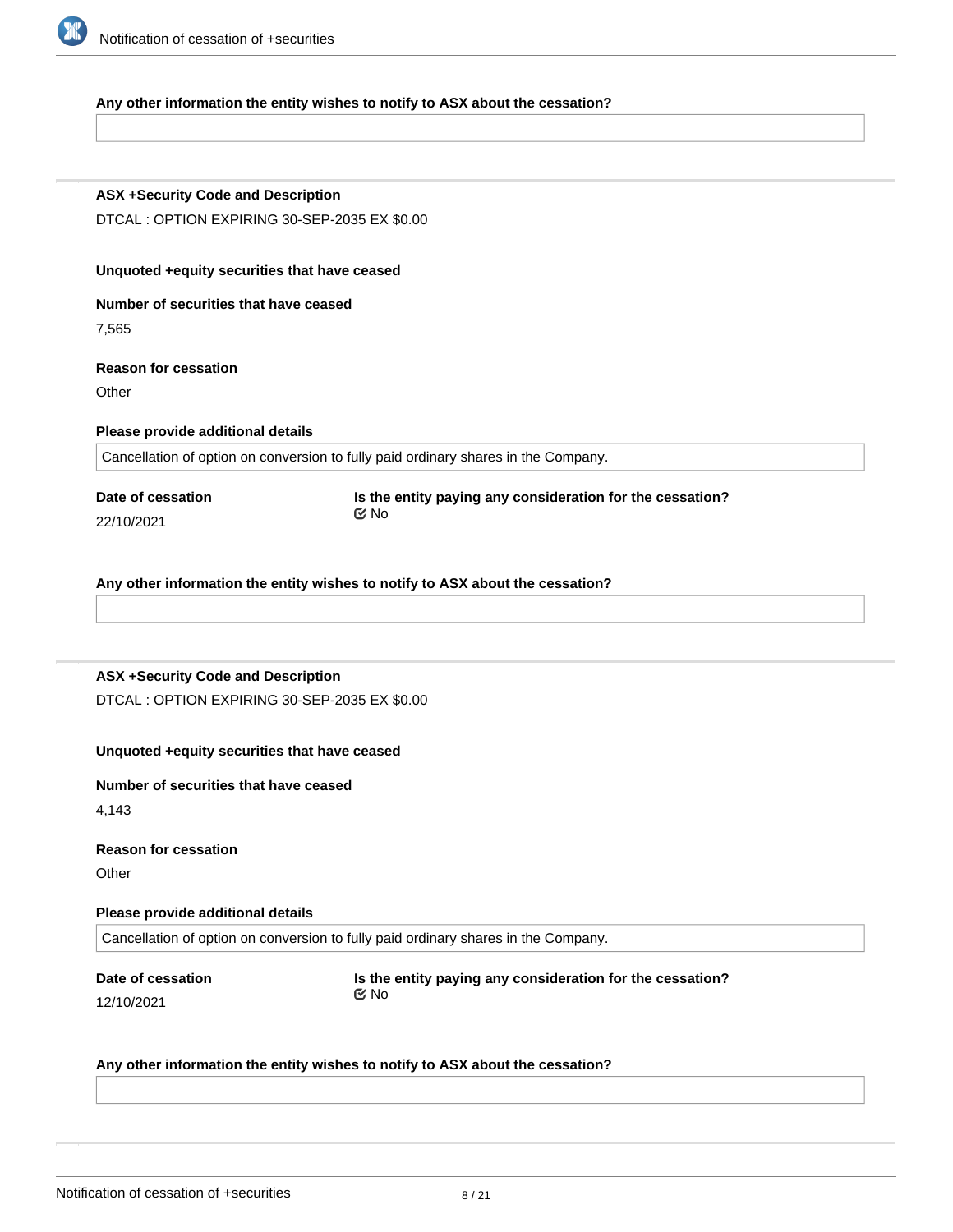

#### **Any other information the entity wishes to notify to ASX about the cessation?**

#### **ASX +Security Code and Description**

DTCAL : OPTION EXPIRING 30-SEP-2035 EX \$0.00

#### **Unquoted +equity securities that have ceased**

**Number of securities that have ceased**

7,565

## **Reason for cessation**

**Other** 

#### **Please provide additional details**

Cancellation of option on conversion to fully paid ordinary shares in the Company.

**Date of cessation** 22/10/2021

**Is the entity paying any consideration for the cessation?** No

**Any other information the entity wishes to notify to ASX about the cessation?**

#### **ASX +Security Code and Description**

DTCAL : OPTION EXPIRING 30-SEP-2035 EX \$0.00

#### **Unquoted +equity securities that have ceased**

#### **Number of securities that have ceased**

4,143

#### **Reason for cessation**

**Other** 

#### **Please provide additional details**

Cancellation of option on conversion to fully paid ordinary shares in the Company.

## **Date of cessation**

12/10/2021

**Is the entity paying any consideration for the cessation?** No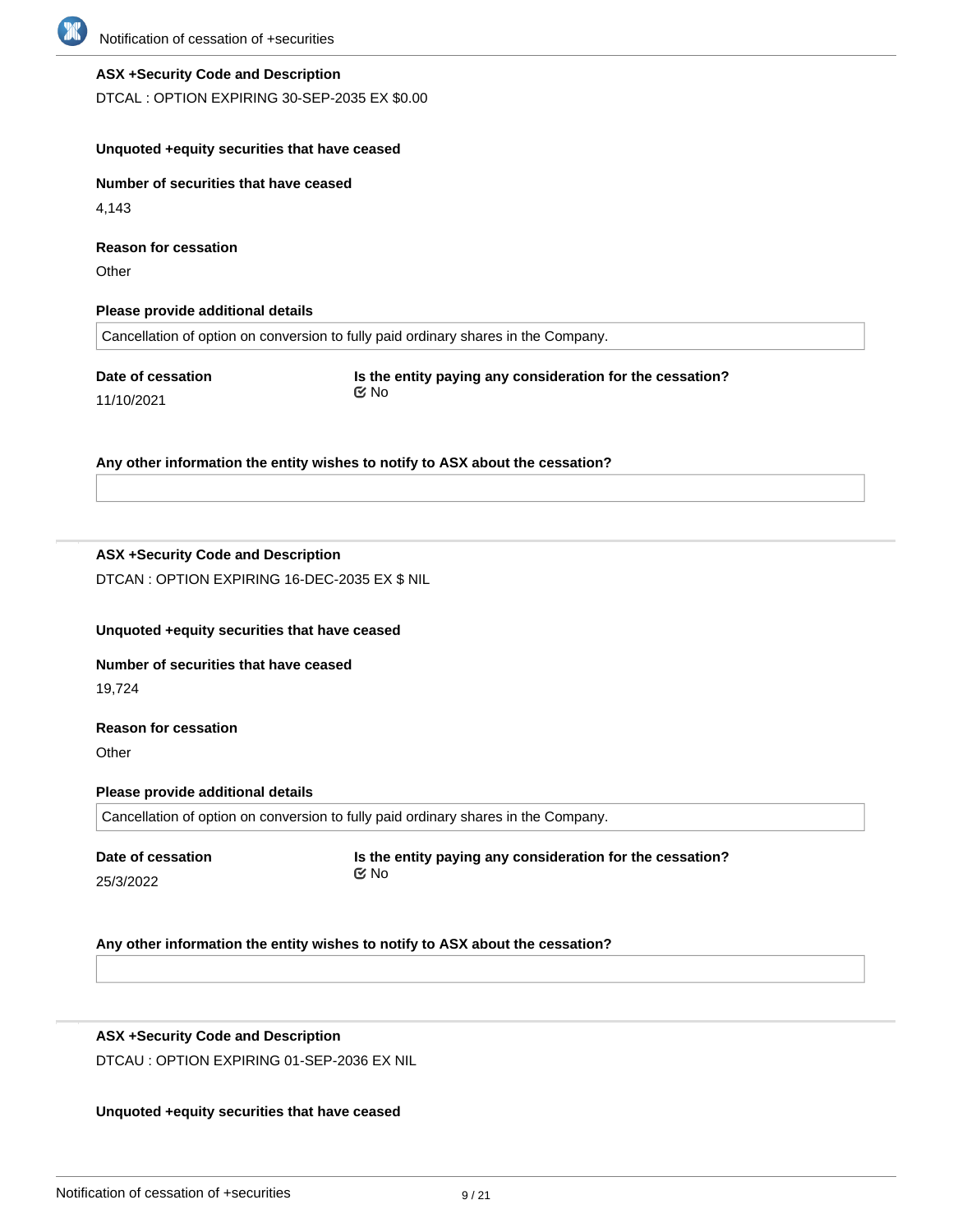

#### **ASX +Security Code and Description**

DTCAL : OPTION EXPIRING 30-SEP-2035 EX \$0.00

#### **Unquoted +equity securities that have ceased**

**Number of securities that have ceased**

4,143

**Reason for cessation**

**Other** 

#### **Please provide additional details**

Cancellation of option on conversion to fully paid ordinary shares in the Company.

**Date of cessation** 11/10/2021

**Is the entity paying any consideration for the cessation?** No

#### **Any other information the entity wishes to notify to ASX about the cessation?**

## **ASX +Security Code and Description**

DTCAN : OPTION EXPIRING 16-DEC-2035 EX \$ NIL

#### **Unquoted +equity securities that have ceased**

#### **Number of securities that have ceased**

19,724

## **Reason for cessation**

**Other** 

#### **Please provide additional details**

Cancellation of option on conversion to fully paid ordinary shares in the Company.

| Date of cessation | Is the entity paying any consideration for the cessation? |
|-------------------|-----------------------------------------------------------|
| 25/3/2022         | ©⁄ No                                                     |

#### **Any other information the entity wishes to notify to ASX about the cessation?**

## **ASX +Security Code and Description**

DTCAU : OPTION EXPIRING 01-SEP-2036 EX NIL

#### **Unquoted +equity securities that have ceased**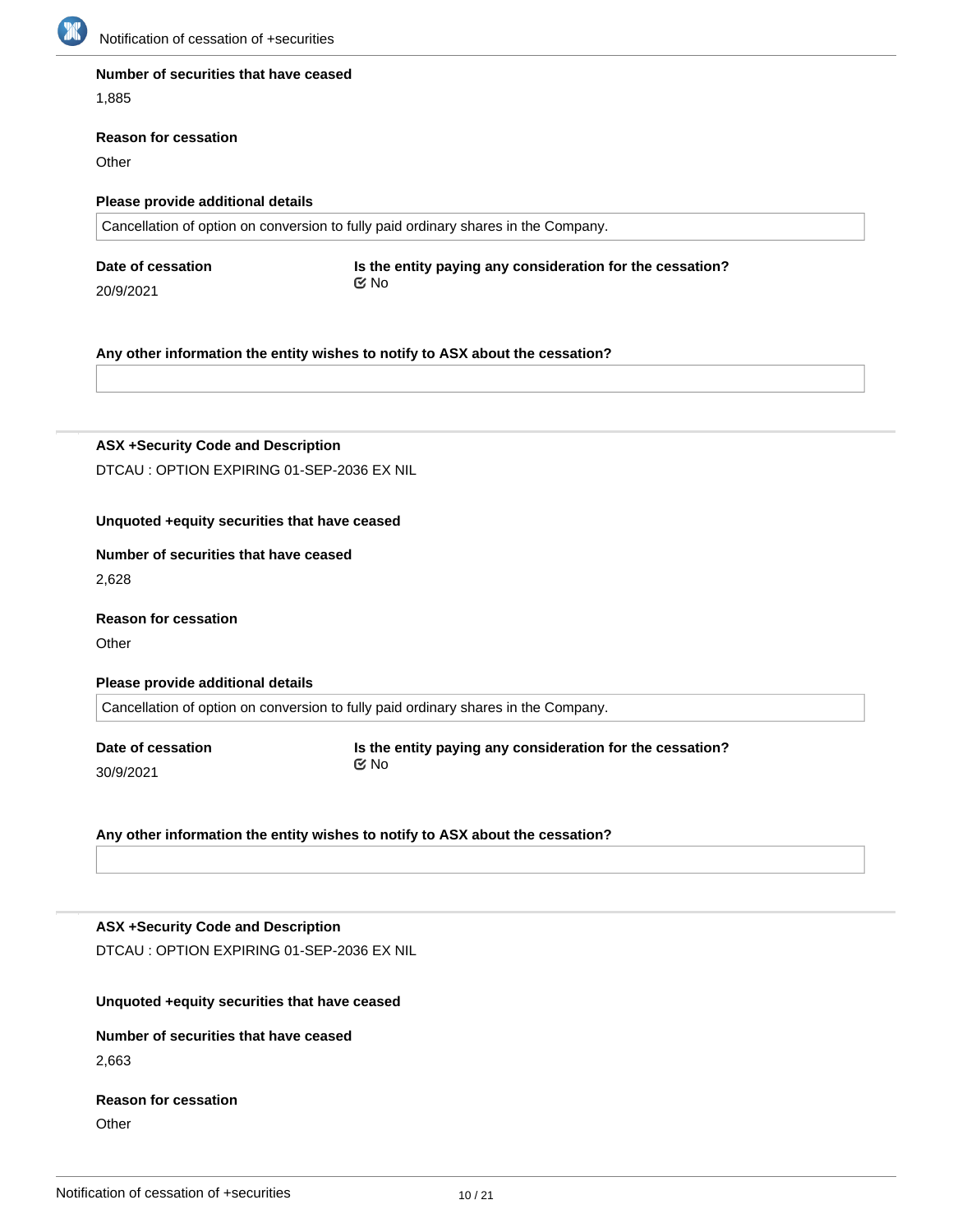

#### **Number of securities that have ceased**

1,885

#### **Reason for cessation**

**Other** 

#### **Please provide additional details**

Cancellation of option on conversion to fully paid ordinary shares in the Company.

**Date of cessation**

20/9/2021

**Is the entity paying any consideration for the cessation?** No

**Any other information the entity wishes to notify to ASX about the cessation?**

**ASX +Security Code and Description** DTCAU : OPTION EXPIRING 01-SEP-2036 EX NIL

## **Unquoted +equity securities that have ceased**

**Number of securities that have ceased**

2,628

**Reason for cessation**

**Other** 

**Please provide additional details**

Cancellation of option on conversion to fully paid ordinary shares in the Company.

**Date of cessation** 30/9/2021

**Is the entity paying any consideration for the cessation?** No

**Any other information the entity wishes to notify to ASX about the cessation?**

#### **ASX +Security Code and Description**

DTCAU : OPTION EXPIRING 01-SEP-2036 EX NIL

#### **Unquoted +equity securities that have ceased**

## **Number of securities that have ceased** 2,663

# **Reason for cessation**

**Other** 

**Please provide additional details**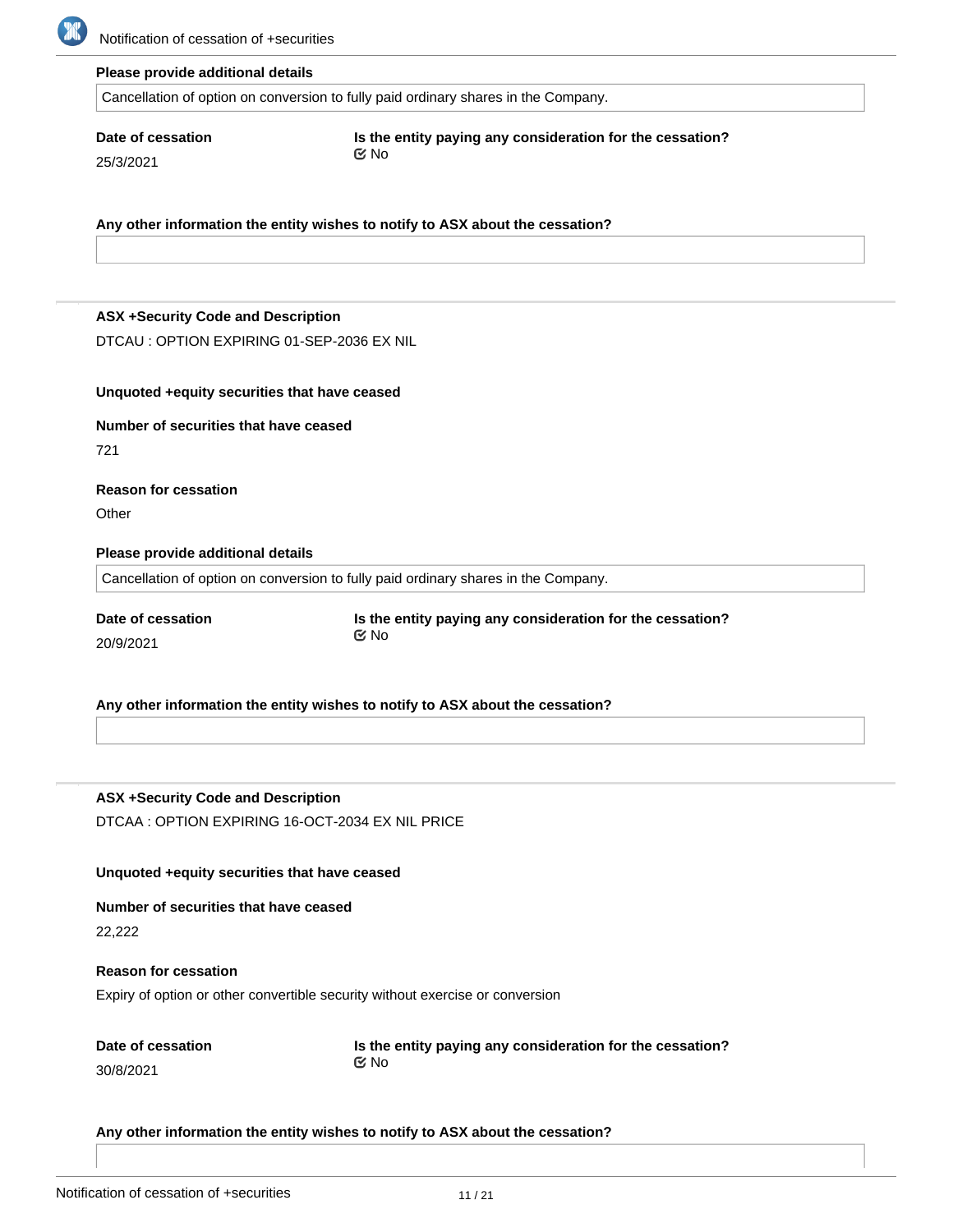

#### **Please provide additional details**

Cancellation of option on conversion to fully paid ordinary shares in the Company.

## **Date of cessation**

25/3/2021

**Is the entity paying any consideration for the cessation?** No

**Any other information the entity wishes to notify to ASX about the cessation?**

#### **ASX +Security Code and Description**

DTCAU : OPTION EXPIRING 01-SEP-2036 EX NIL

#### **Unquoted +equity securities that have ceased**

#### **Number of securities that have ceased**

721

## **Reason for cessation**

**Other** 

#### **Please provide additional details**

Cancellation of option on conversion to fully paid ordinary shares in the Company.

**Date of cessation** 20/9/2021

**Is the entity paying any consideration for the cessation?** No

#### **Any other information the entity wishes to notify to ASX about the cessation?**

**ASX +Security Code and Description** DTCAA : OPTION EXPIRING 16-OCT-2034 EX NIL PRICE

#### **Unquoted +equity securities that have ceased**

#### **Number of securities that have ceased**

22,222

## **Reason for cessation**

Expiry of option or other convertible security without exercise or conversion

| Date of cessation |  |
|-------------------|--|
| 30/8/2021         |  |

**Is the entity paying any consideration for the cessation?** No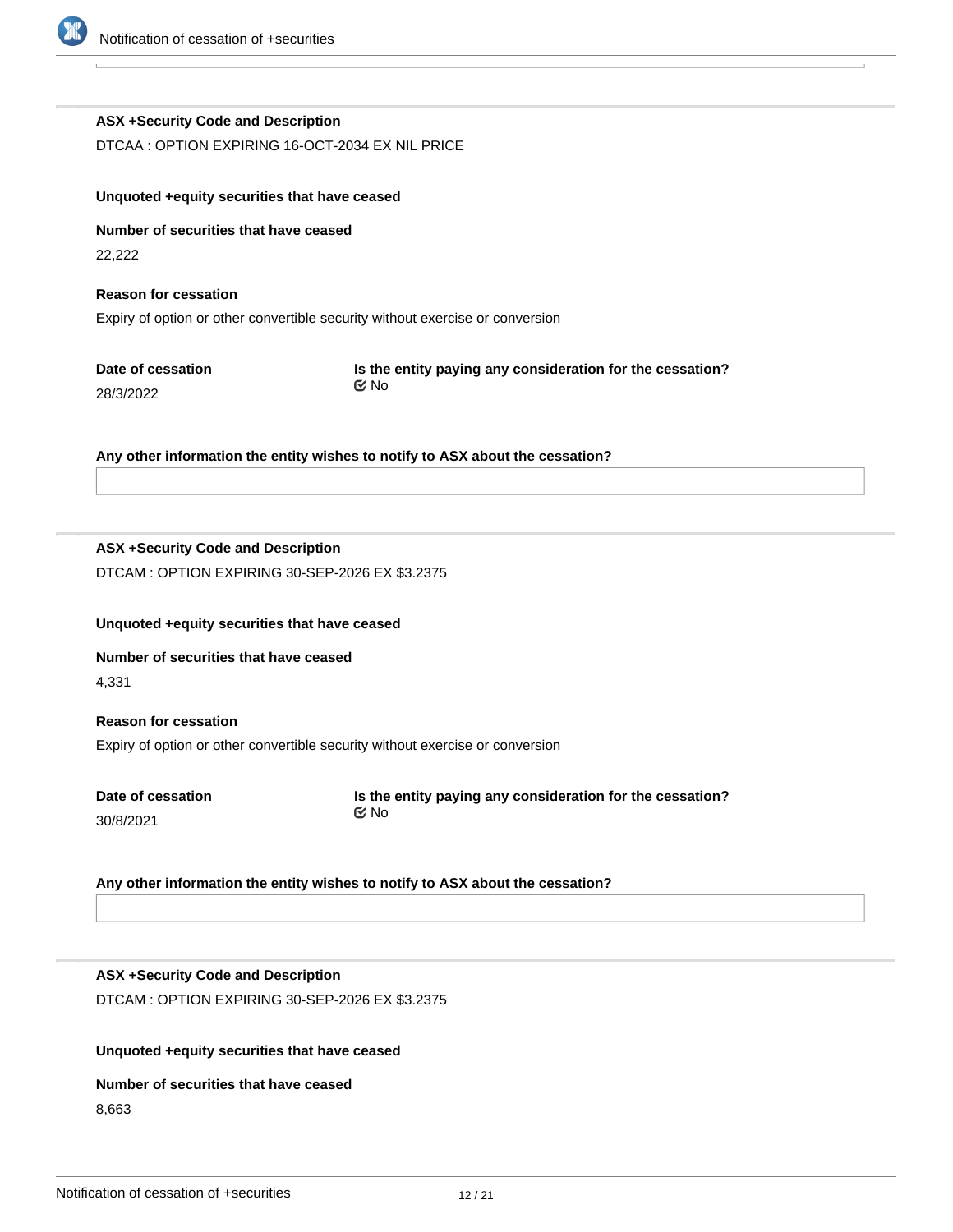

## **ASX +Security Code and Description**

DTCAA : OPTION EXPIRING 16-OCT-2034 EX NIL PRICE

| Unquoted + equity securities that have ceased                                                                |                                                                           |  |  |  |
|--------------------------------------------------------------------------------------------------------------|---------------------------------------------------------------------------|--|--|--|
| Number of securities that have ceased<br>22,222                                                              |                                                                           |  |  |  |
| <b>Reason for cessation</b><br>Expiry of option or other convertible security without exercise or conversion |                                                                           |  |  |  |
| Date of cessation<br>28/3/2022                                                                               | Is the entity paying any consideration for the cessation?<br>$\propto$ No |  |  |  |

**Any other information the entity wishes to notify to ASX about the cessation?**

## **ASX +Security Code and Description**

DTCAM : OPTION EXPIRING 30-SEP-2026 EX \$3.2375

#### **Unquoted +equity securities that have ceased**

**Number of securities that have ceased** 4,331

## **Reason for cessation** Expiry of option or other convertible security without exercise or conversion

**Date of cessation** 30/8/2021

**Is the entity paying any consideration for the cessation?** No

## **Any other information the entity wishes to notify to ASX about the cessation?**

## **ASX +Security Code and Description**

DTCAM : OPTION EXPIRING 30-SEP-2026 EX \$3.2375

## **Unquoted +equity securities that have ceased**

#### **Number of securities that have ceased**

8,663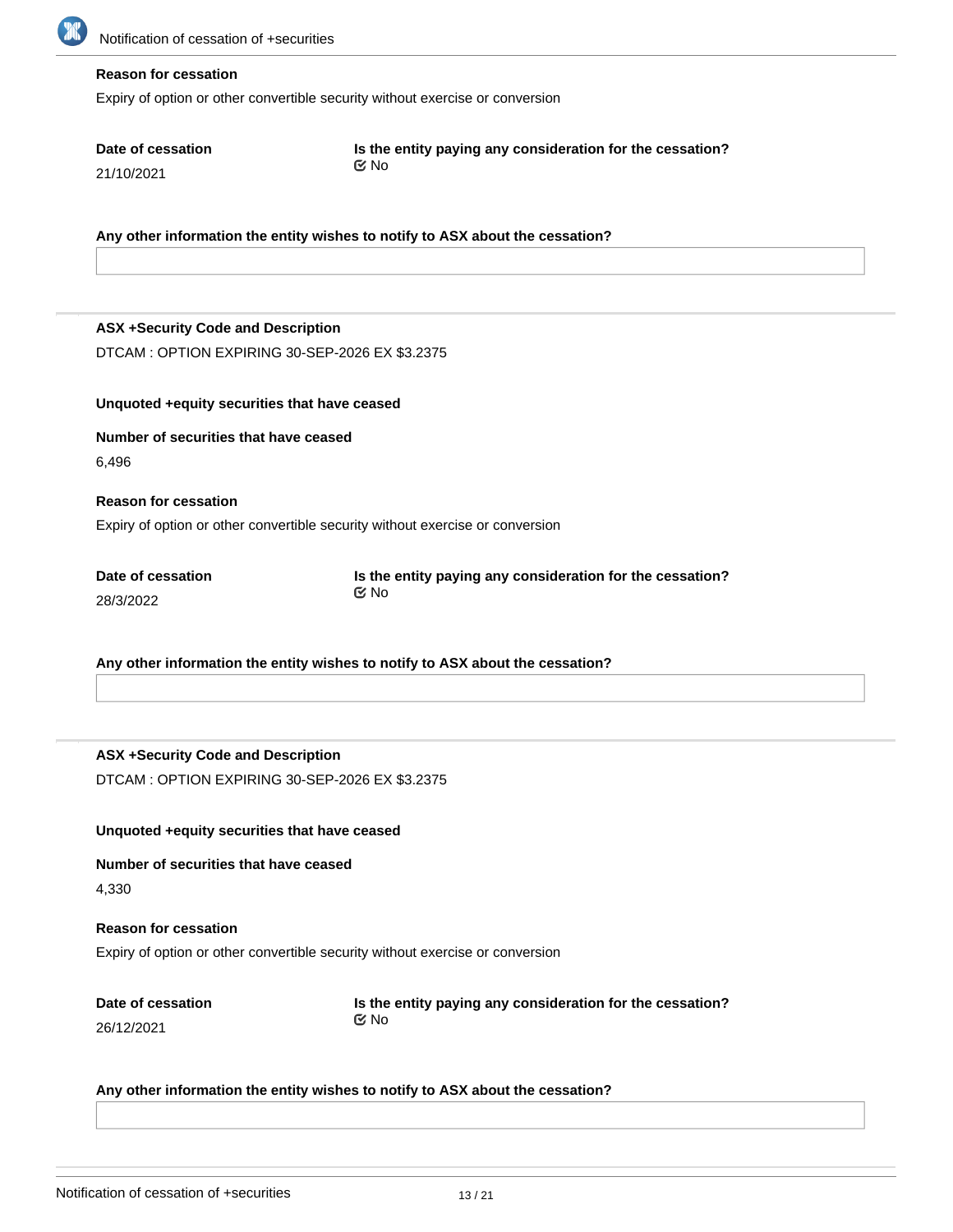

#### **Reason for cessation**

**Date of cessation**

21/10/2021

Expiry of option or other convertible security without exercise or conversion

No

| 4 1 1 1 1 1 2 1 2 1                                                           |                                                                                |  |  |  |
|-------------------------------------------------------------------------------|--------------------------------------------------------------------------------|--|--|--|
|                                                                               |                                                                                |  |  |  |
| Any other information the entity wishes to notify to ASX about the cessation? |                                                                                |  |  |  |
|                                                                               |                                                                                |  |  |  |
|                                                                               |                                                                                |  |  |  |
| <b>ASX +Security Code and Description</b>                                     |                                                                                |  |  |  |
| DTCAM: OPTION EXPIRING 30-SEP-2026 EX \$3.2375                                |                                                                                |  |  |  |
|                                                                               |                                                                                |  |  |  |
| Unquoted +equity securities that have ceased                                  |                                                                                |  |  |  |
| Number of securities that have ceased                                         |                                                                                |  |  |  |
| 6,496                                                                         |                                                                                |  |  |  |
|                                                                               |                                                                                |  |  |  |
| <b>Reason for cessation</b>                                                   |                                                                                |  |  |  |
| Expiry of option or other convertible security without exercise or conversion |                                                                                |  |  |  |
| Date of cessation                                                             |                                                                                |  |  |  |
| 28/3/2022                                                                     | Is the entity paying any consideration for the cessation?<br>$\mathfrak{C}$ No |  |  |  |
|                                                                               |                                                                                |  |  |  |
|                                                                               |                                                                                |  |  |  |
| Any other information the entity wishes to notify to ASX about the cessation? |                                                                                |  |  |  |

**Is the entity paying any consideration for the cessation?**

## **ASX +Security Code and Description** DTCAM : OPTION EXPIRING 30-SEP-2026 EX \$3.2375

**Unquoted +equity securities that have ceased**

**Number of securities that have ceased** 4,330

Expiry of option or other convertible security without exercise or conversion

**Date of cessation** 26/12/2021

**Reason for cessation**

**Is the entity paying any consideration for the cessation?** No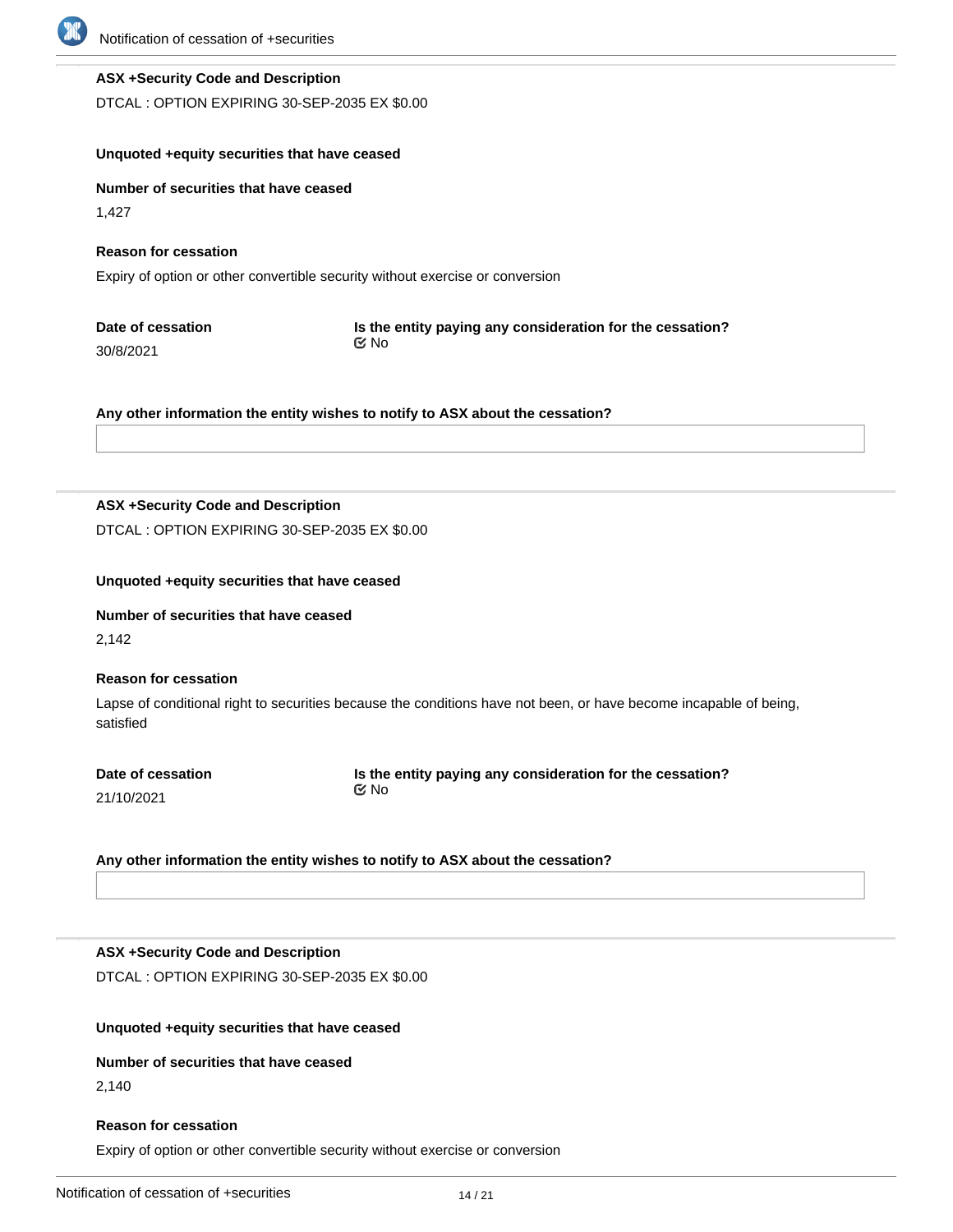

## **ASX +Security Code and Description**

DTCAL : OPTION EXPIRING 30-SEP-2035 EX \$0.00

## **Unquoted +equity securities that have ceased**

**Number of securities that have ceased**

1,427

**Reason for cessation**

Expiry of option or other convertible security without exercise or conversion

| Date of cessation | Is the entity paying any consideration for the cessation? |
|-------------------|-----------------------------------------------------------|
| 30/8/2021         | ় No                                                      |

**Any other information the entity wishes to notify to ASX about the cessation?**

## **ASX +Security Code and Description**

DTCAL : OPTION EXPIRING 30-SEP-2035 EX \$0.00

#### **Unquoted +equity securities that have ceased**

#### **Number of securities that have ceased**

2,142

#### **Reason for cessation**

Lapse of conditional right to securities because the conditions have not been, or have become incapable of being, satisfied

**Date of cessation** 21/10/2021

**Is the entity paying any consideration for the cessation?** No

**Any other information the entity wishes to notify to ASX about the cessation?**

#### **ASX +Security Code and Description**

DTCAL : OPTION EXPIRING 30-SEP-2035 EX \$0.00

#### **Unquoted +equity securities that have ceased**

# **Number of securities that have ceased**

2,140

#### **Reason for cessation**

Expiry of option or other convertible security without exercise or conversion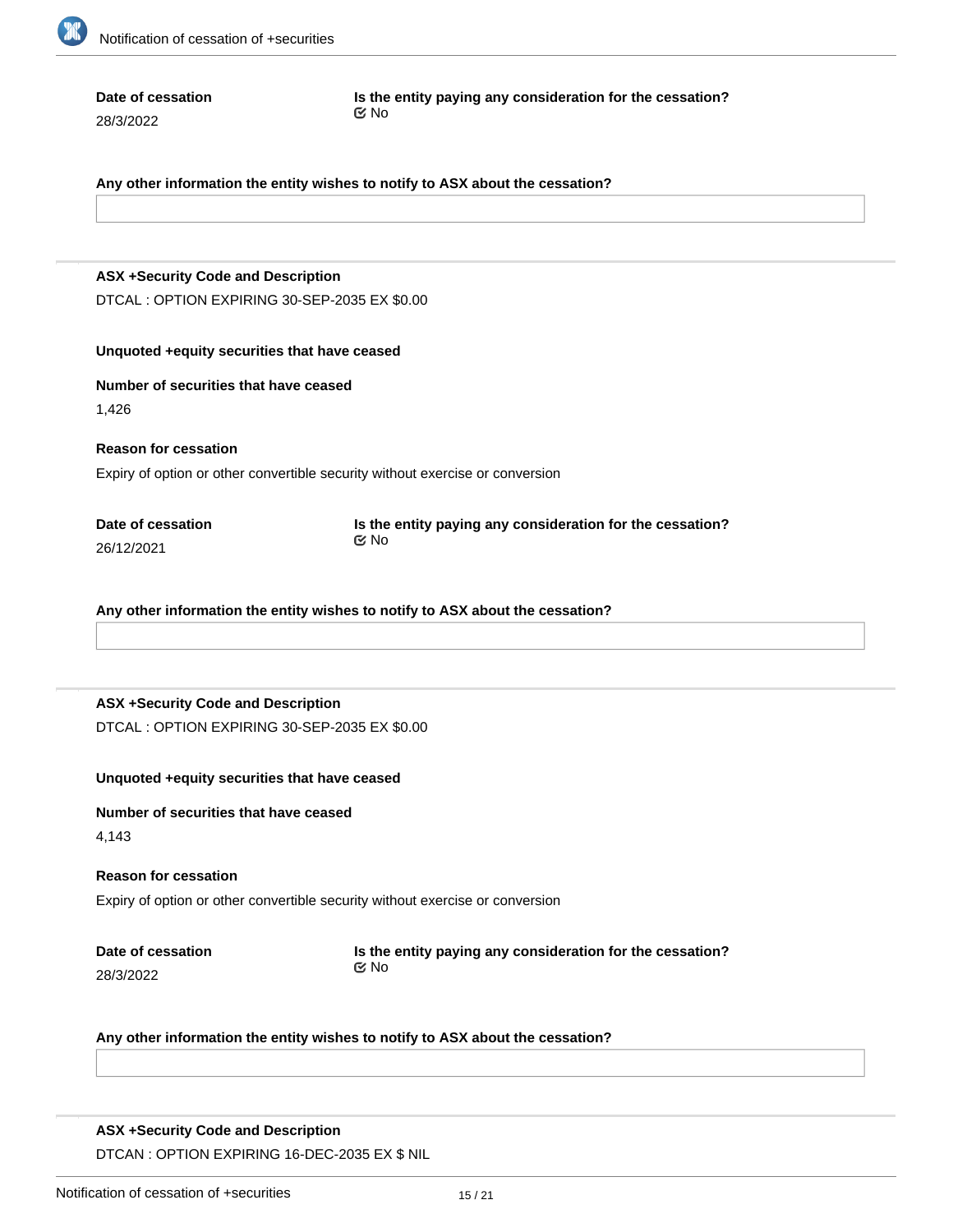

**Date of cessation**

28/3/2022

**Is the entity paying any consideration for the cessation?** No

#### **Any other information the entity wishes to notify to ASX about the cessation?**

## **ASX +Security Code and Description**

DTCAL : OPTION EXPIRING 30-SEP-2035 EX \$0.00

## **Unquoted +equity securities that have ceased**

#### **Number of securities that have ceased**

1,426

**Reason for cessation** Expiry of option or other convertible security without exercise or conversion

**Date of cessation** 26/12/2021

**Is the entity paying any consideration for the cessation?** No

**Any other information the entity wishes to notify to ASX about the cessation?**

#### **ASX +Security Code and Description**

DTCAL : OPTION EXPIRING 30-SEP-2035 EX \$0.00

#### **Unquoted +equity securities that have ceased**

**Number of securities that have ceased**

4,143

#### **Reason for cessation**

Expiry of option or other convertible security without exercise or conversion

|           | Date of cessation |  |
|-----------|-------------------|--|
| 28/3/2022 |                   |  |

**Is the entity paying any consideration for the cessation?** No

**Any other information the entity wishes to notify to ASX about the cessation?**

## **ASX +Security Code and Description**

DTCAN : OPTION EXPIRING 16-DEC-2035 EX \$ NIL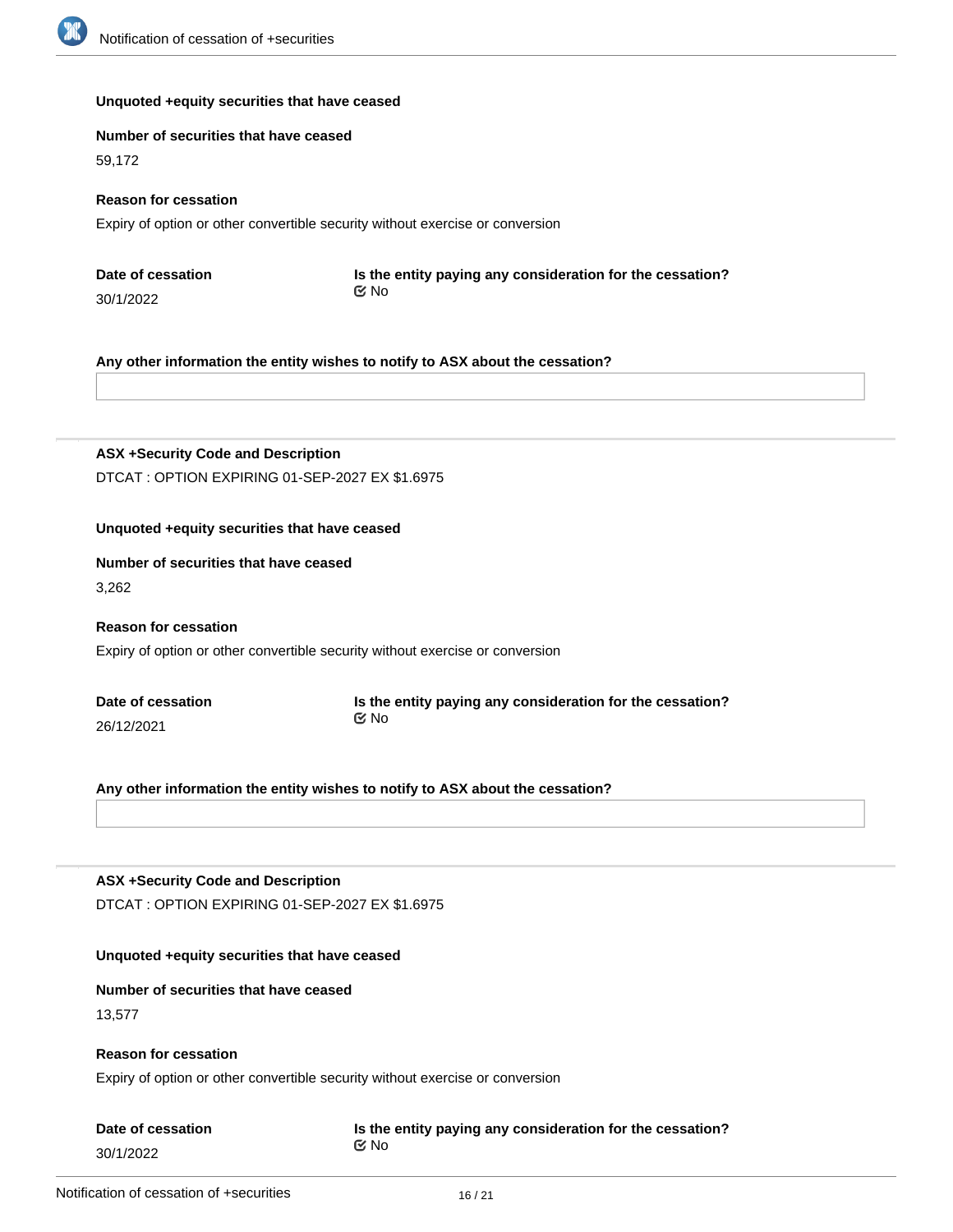

#### **Unquoted +equity securities that have ceased**

#### **Number of securities that have ceased**

59,172

#### **Reason for cessation**

Expiry of option or other convertible security without exercise or conversion

**Date of cessation** 30/1/2022

**Is the entity paying any consideration for the cessation?** No

**Any other information the entity wishes to notify to ASX about the cessation?**

## **ASX +Security Code and Description**

DTCAT : OPTION EXPIRING 01-SEP-2027 EX \$1.6975

#### **Unquoted +equity securities that have ceased**

#### **Number of securities that have ceased**

3,262

## **Reason for cessation**

Expiry of option or other convertible security without exercise or conversion

| Date of cessation |  |
|-------------------|--|
| 26/12/2021        |  |

**Is the entity paying any consideration for the cessation?** No

**Any other information the entity wishes to notify to ASX about the cessation?**

#### **ASX +Security Code and Description**

DTCAT : OPTION EXPIRING 01-SEP-2027 EX \$1.6975

#### **Unquoted +equity securities that have ceased**

#### **Number of securities that have ceased**

13,577

## **Reason for cessation**

Expiry of option or other convertible security without exercise or conversion

| Date of cessation |  |  |
|-------------------|--|--|
| 30/1/2022         |  |  |

**Is the entity paying any consideration for the cessation?** No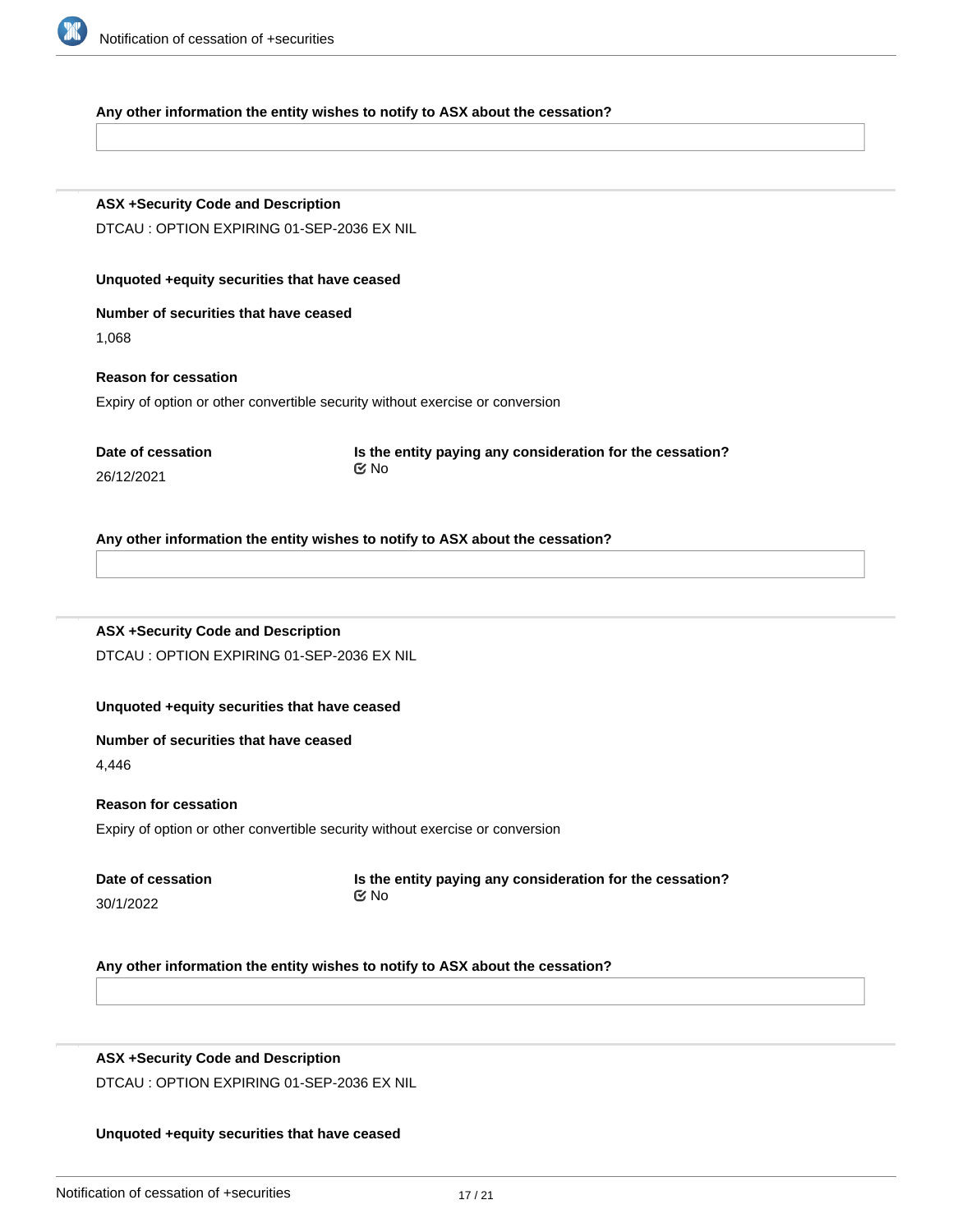

#### **Any other information the entity wishes to notify to ASX about the cessation?**

## **ASX +Security Code and Description**

DTCAU : OPTION EXPIRING 01-SEP-2036 EX NIL

#### **Unquoted +equity securities that have ceased**

# **Number of securities that have ceased**

1,068

## **Reason for cessation**

Expiry of option or other convertible security without exercise or conversion

|            | Date of cessation |
|------------|-------------------|
| 26/12/2021 |                   |

**Is the entity paying any consideration for the cessation?** No

#### **Any other information the entity wishes to notify to ASX about the cessation?**

## **ASX +Security Code and Description**

DTCAU : OPTION EXPIRING 01-SEP-2036 EX NIL

#### **Unquoted +equity securities that have ceased**

## **Number of securities that have ceased**

4,446

#### **Reason for cessation**

Expiry of option or other convertible security without exercise or conversion

| Date of cessation |  |
|-------------------|--|
| 30/1/2022         |  |

**Is the entity paying any consideration for the cessation?** No

#### **Any other information the entity wishes to notify to ASX about the cessation?**

#### **ASX +Security Code and Description**

**Number of securities that have ceased**

DTCAU : OPTION EXPIRING 01-SEP-2036 EX NIL

#### **Unquoted +equity securities that have ceased**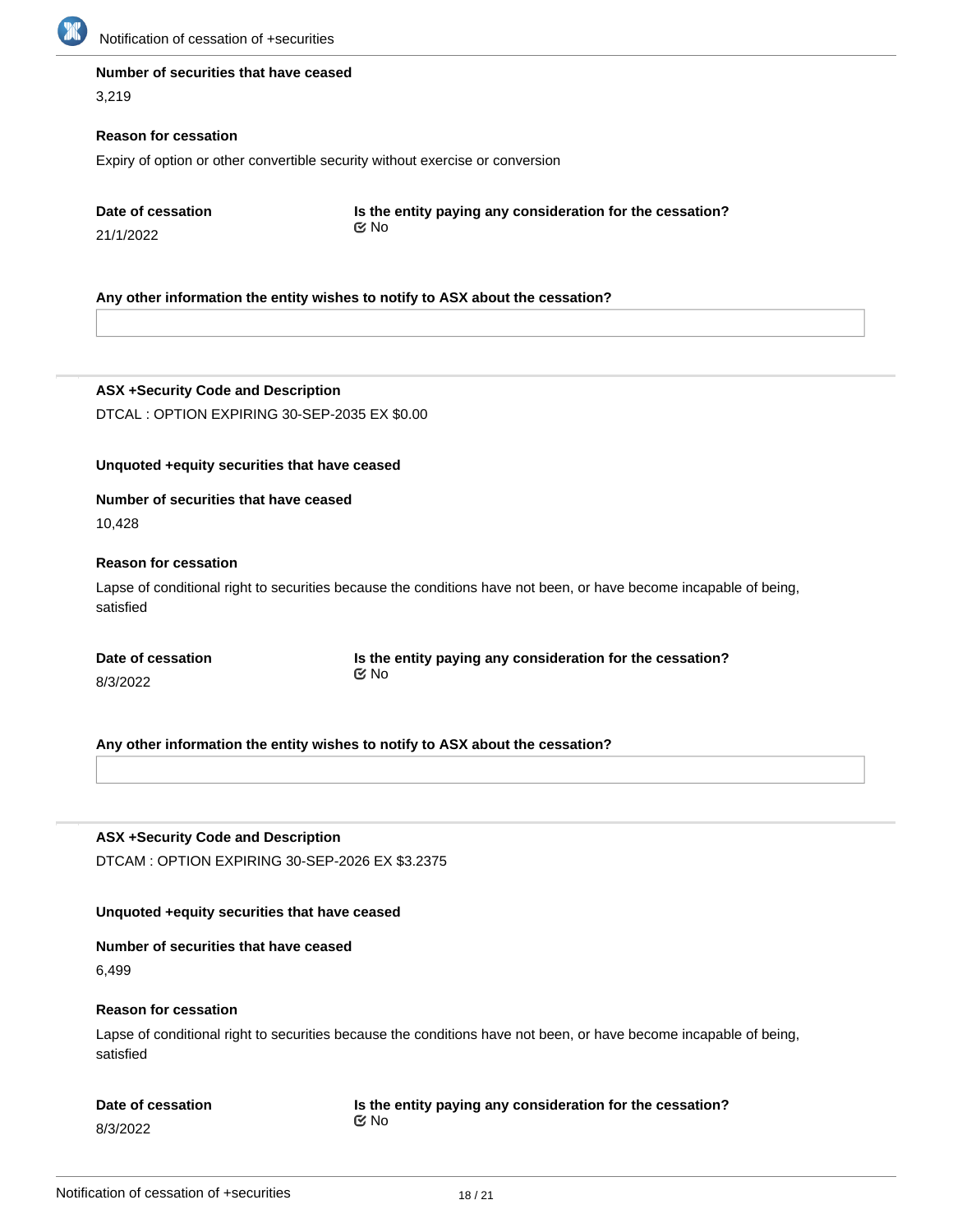

#### **Number of securities that have ceased**

3,219

#### **Reason for cessation**

Expiry of option or other convertible security without exercise or conversion

**Date of cessation**

21/1/2022

**Is the entity paying any consideration for the cessation?** No

## **Any other information the entity wishes to notify to ASX about the cessation?**

**ASX +Security Code and Description** DTCAL : OPTION EXPIRING 30-SEP-2035 EX \$0.00

#### **Unquoted +equity securities that have ceased**

#### **Number of securities that have ceased**

10,428

## **Reason for cessation**

Lapse of conditional right to securities because the conditions have not been, or have become incapable of being, satisfied

| Date of cessation | Is the entity paying any consideration for the cessation? |
|-------------------|-----------------------------------------------------------|
| 8/3/2022          | ©⁄ No                                                     |

**Any other information the entity wishes to notify to ASX about the cessation?**

**ASX +Security Code and Description**

DTCAM : OPTION EXPIRING 30-SEP-2026 EX \$3.2375

#### **Unquoted +equity securities that have ceased**

## **Number of securities that have ceased**

6,499

#### **Reason for cessation**

Lapse of conditional right to securities because the conditions have not been, or have become incapable of being, satisfied

## **Date of cessation**

8/3/2022

**Is the entity paying any consideration for the cessation?** No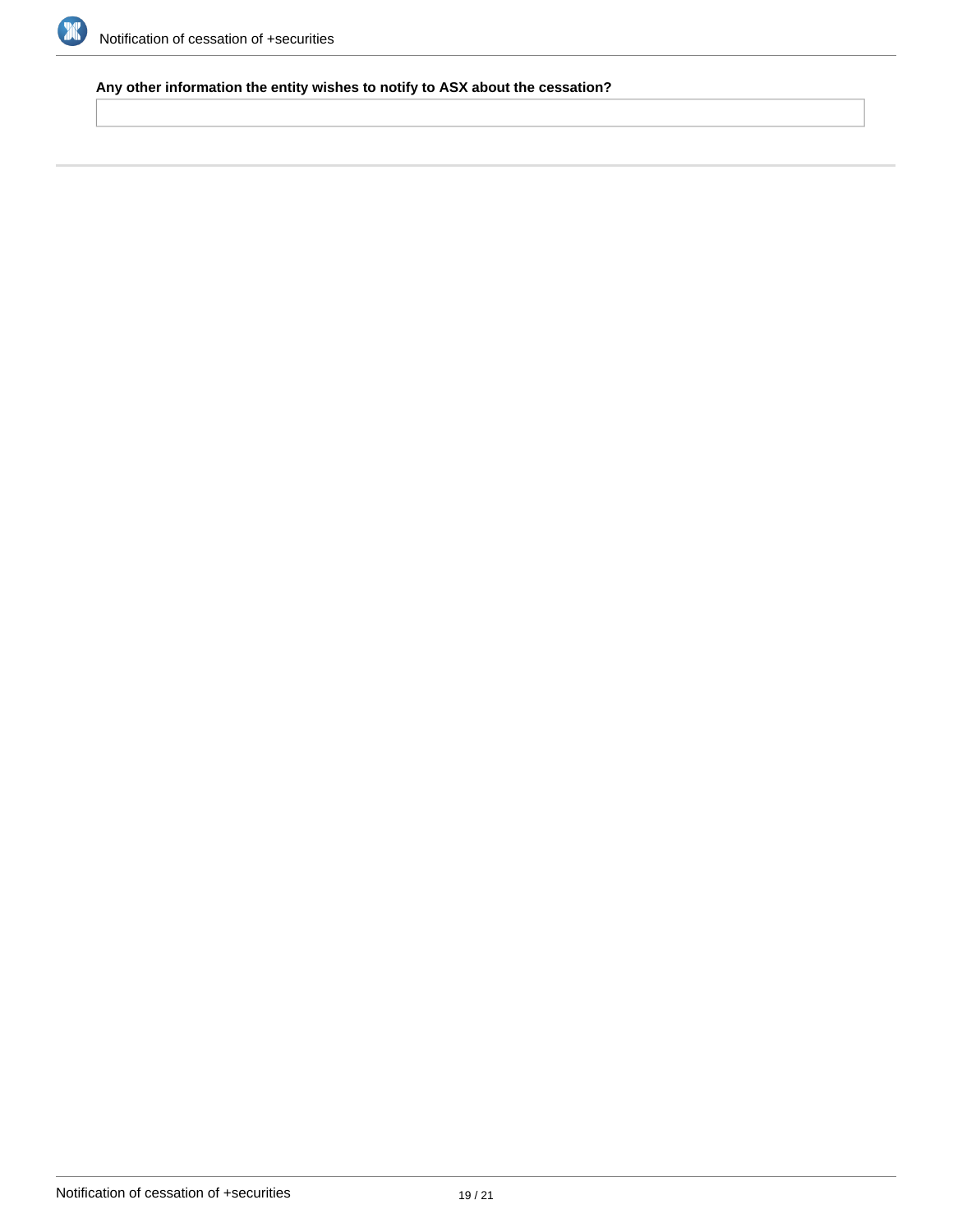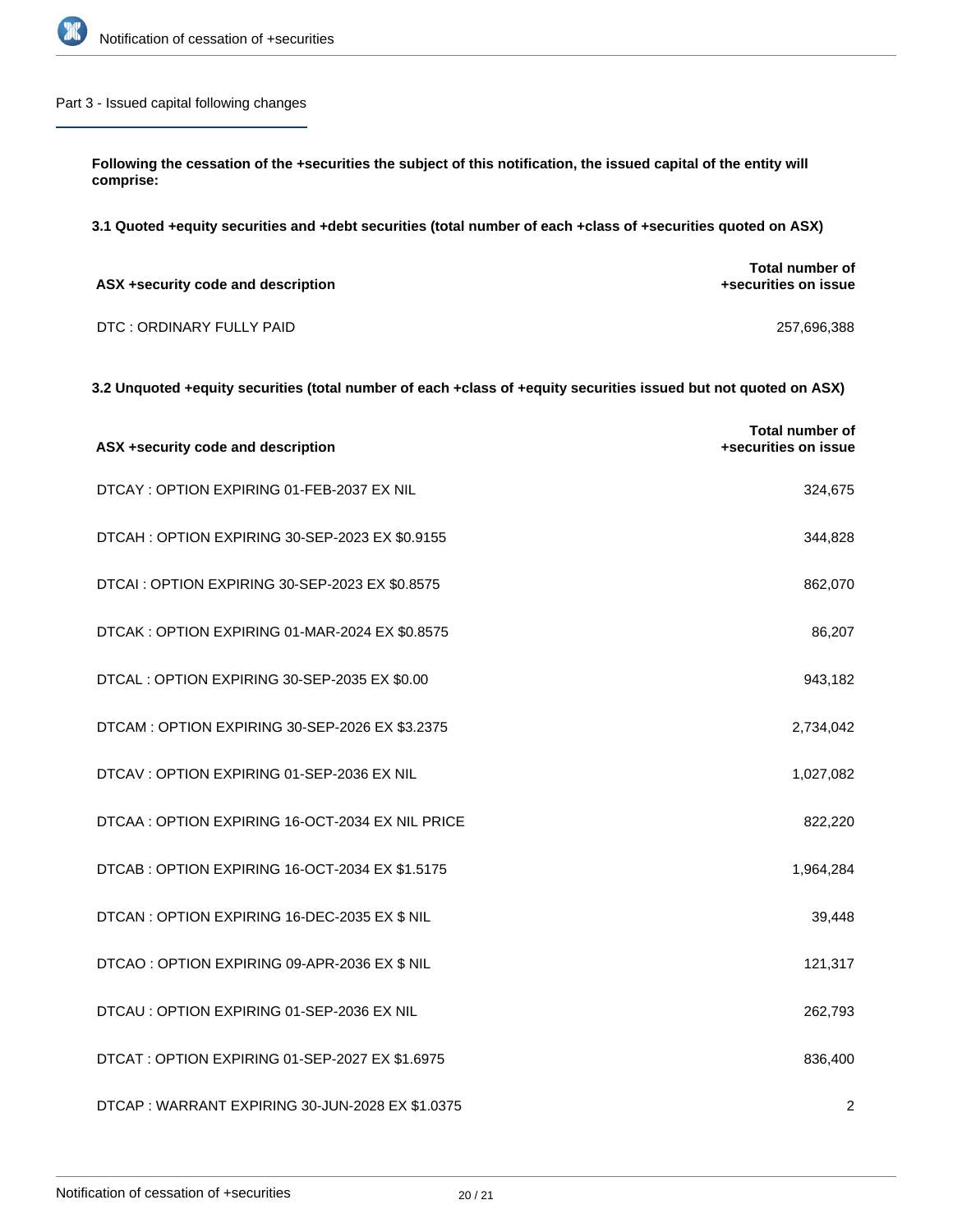

## Part 3 - Issued capital following changes

**Following the cessation of the +securities the subject of this notification, the issued capital of the entity will comprise:**

**3.1 Quoted +equity securities and +debt securities (total number of each +class of +securities quoted on ASX)**

| ASX +security code and description | Total number of<br>+securities on issue |
|------------------------------------|-----------------------------------------|
| DTC: ORDINARY FULLY PAID           | 257.696.388                             |

## **3.2 Unquoted +equity securities (total number of each +class of +equity securities issued but not quoted on ASX)**

| ASX +security code and description              | <b>Total number of</b><br>+securities on issue |
|-------------------------------------------------|------------------------------------------------|
| DTCAY: OPTION EXPIRING 01-FEB-2037 EX NIL       | 324,675                                        |
| DTCAH: OPTION EXPIRING 30-SEP-2023 EX \$0.9155  | 344,828                                        |
| DTCAI : OPTION EXPIRING 30-SEP-2023 EX \$0.8575 | 862,070                                        |
| DTCAK: OPTION EXPIRING 01-MAR-2024 EX \$0.8575  | 86,207                                         |
| DTCAL : OPTION EXPIRING 30-SEP-2035 EX \$0.00   | 943,182                                        |
| DTCAM: OPTION EXPIRING 30-SEP-2026 EX \$3.2375  | 2,734,042                                      |
| DTCAV: OPTION EXPIRING 01-SEP-2036 EX NIL       | 1,027,082                                      |
| DTCAA: OPTION EXPIRING 16-OCT-2034 EX NIL PRICE | 822,220                                        |
| DTCAB: OPTION EXPIRING 16-OCT-2034 EX \$1.5175  | 1,964,284                                      |
| DTCAN : OPTION EXPIRING 16-DEC-2035 EX \$ NIL   | 39,448                                         |
| DTCAO : OPTION EXPIRING 09-APR-2036 EX \$ NIL   | 121,317                                        |
| DTCAU : OPTION EXPIRING 01-SEP-2036 EX NIL      | 262,793                                        |
| DTCAT: OPTION EXPIRING 01-SEP-2027 EX \$1.6975  | 836,400                                        |
| DTCAP: WARRANT EXPIRING 30-JUN-2028 EX \$1.0375 | 2                                              |